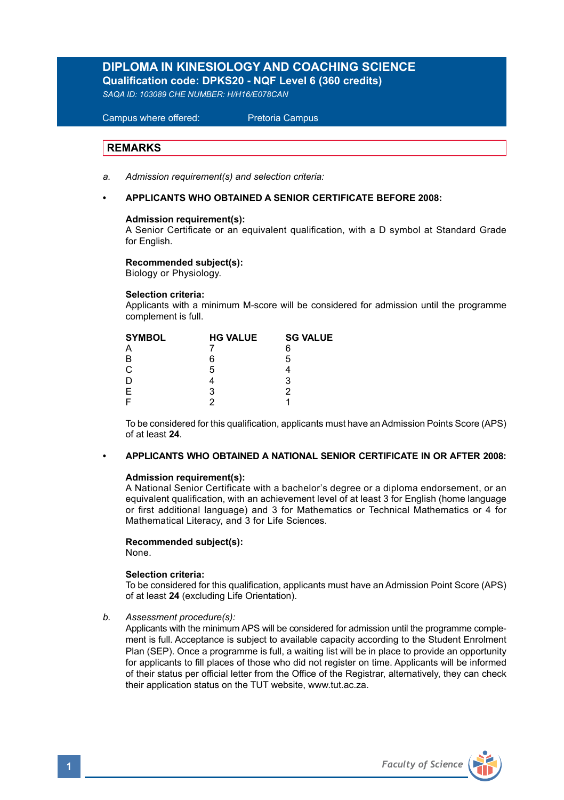# **DIPLOMA IN KINESIOLOGY AND COACHING SCIENCE**

**Qualification code: DPKS20 - NQF Level 6 (360 credits)** 

*SAQA ID: 103089 CHE NUMBER: H/H16/E078CAN*

 Campus where offered: Pretoria Campus

# **REMARKS**

- *a. Admission requirement(s) and selection criteria:*
- **APPLICANTS WHO OBTAINED A SENIOR CERTIFICATE BEFORE 2008:**

# **Admission requirement(s):**

A Senior Certificate or an equivalent qualification, with a D symbol at Standard Grade for **English** 

### **Recommended subject(s):**

Biology or Physiology.

### **Selection criteria:**

Applicants with a minimum M-score will be considered for admission until the programme complement is full.

| <b>SYMBOL</b> | <b>HG VALUE</b> | <b>SG VALUE</b> |
|---------------|-----------------|-----------------|
| А             |                 | 6               |
| B             | 6               | 5               |
| С             | 5               |                 |
| D             |                 | 3               |
| E             | 3               |                 |
| F             |                 |                 |

 To be considered for this qualification, applicants must have an Admission Points Score (APS) of at least **24**.

### **• APPLICANTS WHO OBTAINED A NATIONAL SENIOR CERTIFICATE IN OR AFTER 2008:**

### **Admission requirement(s):**

 A National Senior Certificate with a bachelor's degree or a diploma endorsement, or an equivalent qualification, with an achievement level of at least 3 for English (home language or first additional language) and 3 for Mathematics or Technical Mathematics or 4 for Mathematical Literacy, and 3 for Life Sciences.

### **Recommended subject(s):**

None.

## **Selection criteria:**

To be considered for this qualification, applicants must have an Admission Point Score (APS) of at least **24** (excluding Life Orientation).

### *b. Assessment procedure(s):*

 Applicants with the minimum APS will be considered for admission until the programme complement is full. Acceptance is subject to available capacity according to the Student Enrolment Plan (SEP). Once a programme is full, a waiting list will be in place to provide an opportunity for applicants to fill places of those who did not register on time. Applicants will be informed of their status per official letter from the Office of the Registrar, alternatively, they can check their application status on the TUT website, www.tut.ac.za.

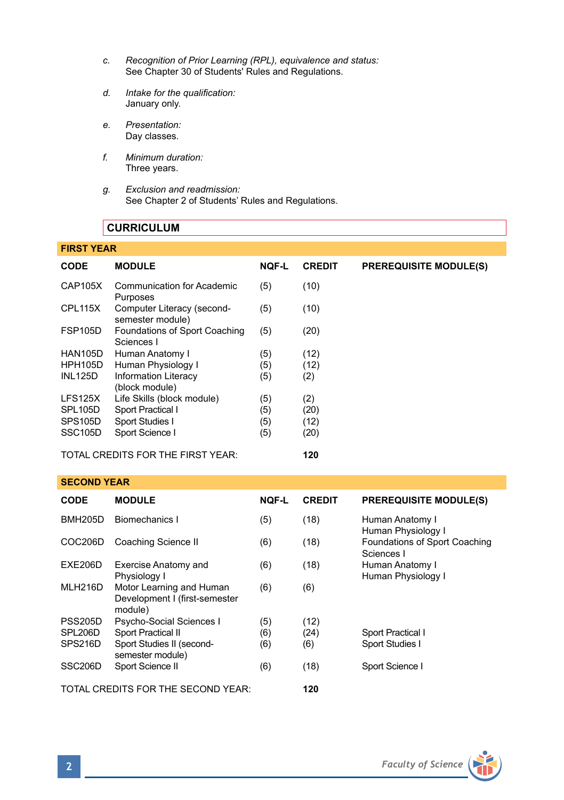- *c. Recognition of Prior Learning (RPL), equivalence and status:* See Chapter 30 of Students' Rules and Regulations.
- *d. Intake for the qualification:* January only.
- *e. Presentation:* Day classes.
- *f. Minimum duration:* Three years.
- *g. Exclusion and readmission:* See Chapter 2 of Students' Rules and Regulations.

# **CURRICULUM**

# **FIRST YEAR**

| <b>CODE</b>          | <b>MODULE</b>                                  | <b>NOF-L</b> | <b>CREDIT</b> | <b>PREREQUISITE MODULE(S)</b> |
|----------------------|------------------------------------------------|--------------|---------------|-------------------------------|
| CAP105X              | Communication for Academic<br>Purposes         | (5)          | (10)          |                               |
| CPL115X              | Computer Literacy (second-<br>semester module) | (5)          | (10)          |                               |
| <b>FSP105D</b>       | Foundations of Sport Coaching<br>Sciences I    | (5)          | (20)          |                               |
| <b>HAN105D</b>       | Human Anatomy I                                | (5)          | (12)          |                               |
| <b>HPH105D</b>       | Human Physiology I                             | (5)          | (12)          |                               |
| <b>INL125D</b>       | Information Literacy<br>(block module)         | (5)          | (2)           |                               |
| LFS125X              | Life Skills (block module)                     | (5)          | (2)           |                               |
| SPL <sub>105</sub> D | Sport Practical I                              | (5)          | (20)          |                               |
| SPS105D              | Sport Studies I                                | (5)          | (12)          |                               |
| SSC <sub>105</sub> D | Sport Science I                                | (5)          | (20)          |                               |
|                      | TOTAL CREDITS FOR THE FIRST YEAR:              |              | 120           |                               |

### **SECOND YEAR**

| <b>CODE</b>          | <b>MODULE</b>                                                        | <b>NQF-L</b> | <b>CREDIT</b> | <b>PREREQUISITE MODULE(S)</b>               |
|----------------------|----------------------------------------------------------------------|--------------|---------------|---------------------------------------------|
| <b>BMH205D</b>       | <b>Biomechanics I</b>                                                | (5)          | (18)          | Human Anatomy I<br>Human Physiology I       |
| COC206D              | Coaching Science II                                                  | (6)          | (18)          | Foundations of Sport Coaching<br>Sciences I |
| EXE206D              | Exercise Anatomy and<br>Physiology I                                 | (6)          | (18)          | Human Anatomy I<br>Human Physiology I       |
| MLH216D              | Motor Learning and Human<br>Development I (first-semester<br>module) | (6)          | (6)           |                                             |
| <b>PSS205D</b>       | Psycho-Social Sciences I                                             | (5)          | (12)          |                                             |
| SPL206D              | Sport Practical II                                                   | (6)          | (24)          | Sport Practical I                           |
| SPS216D              | Sport Studies II (second-<br>semester module)                        | (6)          | (6)           | Sport Studies I                             |
| SSC <sub>206</sub> D | Sport Science II                                                     | (6)          | (18)          | Sport Science I                             |
|                      | TOTAL CREDITS FOR THE SECOND YEAR:                                   |              | 120           |                                             |

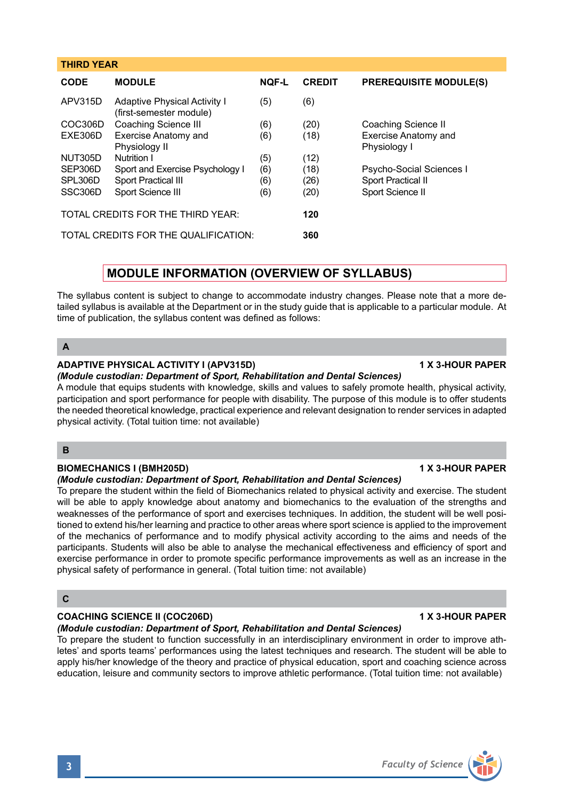| <b>C</b>                                                                                                            | participants. Students will also be able to analyse the mechanical effectiveness and efficiency of sport and<br>exercise performance in order to promote specific performance improvements as well as an increase in the |
|---------------------------------------------------------------------------------------------------------------------|--------------------------------------------------------------------------------------------------------------------------------------------------------------------------------------------------------------------------|
|                                                                                                                     |                                                                                                                                                                                                                          |
| <b>COACHING SCIENCE II (COC206D)</b><br>(Module custodian: Department of Sport, Rehabilitation and Dental Sciences) | <b>1 X 3-HOUR PAPER</b>                                                                                                                                                                                                  |
| To prepare the student to function successfully in an interdisciplinary environment in order to improve ath-        |                                                                                                                                                                                                                          |

To prepare the student within the field of Biomechanics related to physical activity and exercise. The student will be able to apply knowledge about anatomy and biomechanics to the evaluation of the strengths and weaknesses of the performance of sport and exercises techniques. In addition, the student will be well positioned to extend his/her learning and practice to other areas where sport science is applied to the improvement of the mechanics of performance and to modify physical activity according to the aims and needs of the participants. Students will also be able to analyse the mechanical effectiveness and efficiency of sport and exercise performance in order to promote specific performance improvements as well as an increase in the physical safety of performance in

# **MODULE INFORMATION (OVERVIEW OF SYLLABUS)**

**CODE MODULE NQF-L CREDIT PREREQUISITE MODULE(S)**

Exercise Anatomy and (6) (18) Exercise Anatomy and

Sport and Exercise Psychology | (6) (18) Psycho-Social Sciences |

COC306D Coaching Science III (6) (20) Coaching Science II<br>
EXE306D Exercise Anatomy and (6) (18) Exercise Anatomy a

SPL306D Sport Practical III (6) (26) Sport Practical II<br>SSC306D Sport Science III (6) (20) Sport Science II

Sport Science III (6) (20)

Physiology II Physiology I<br>
Nutrition I (5) (12)

The syllabus content is subject to change to accommodate industry changes. Please note that a more detailed syllabus is available at the Department or in the study guide that is applicable to a particular module. At time of publication, the syllabus content was defined as follows:

# **A**

**THIRD YEAR** 

# **ADAPTIVE PHYSICAL ACTIVITY I (APV315D) 1 X 3-HOUR PAPER**

APV315D Adaptive Physical Activity | (5) (6) (first-semester module)

NUT305D Nutrition I<br>SEP306D Sport and Exercise Psychology | (6) (18)

TOTAL CREDITS FOR THE THIRD YEAR: **120** TOTAL CREDITS FOR THE QUALIFICATION: **360**

*(Module custodian: Department of Sport, Rehabilitation and Dental Sciences)* A module that equips students with knowledge, skills and values to safely promote health, physical activity, participation and sport performance for people with disability. The purpose of this module is to offer students the needed theoretical knowledge, practical experience and relevant designation to render services in adapted physical activity. (Total tuition time: not available)

# **B**

# **BIOMECHANICS I (BMH205D) 1 X 3-HOUR PAPER**

# *(Module custodian: Department of Sport, Rehabilitation and Dental Sciences)*

# **C**

# *(Module custodian: Department of Sport, Rehabilitation and Dental Sciences)*

To prepare the student to function successfully in an interdisciplinary environment in order to improve athletes' and sports teams' performances using the latest techniques and research. The student will be able to apply his/her knowledge of the theory and practice of physical education, sport and coaching science across education, leisure and community sectors to improve athletic performance. (Total tuition time: not available)

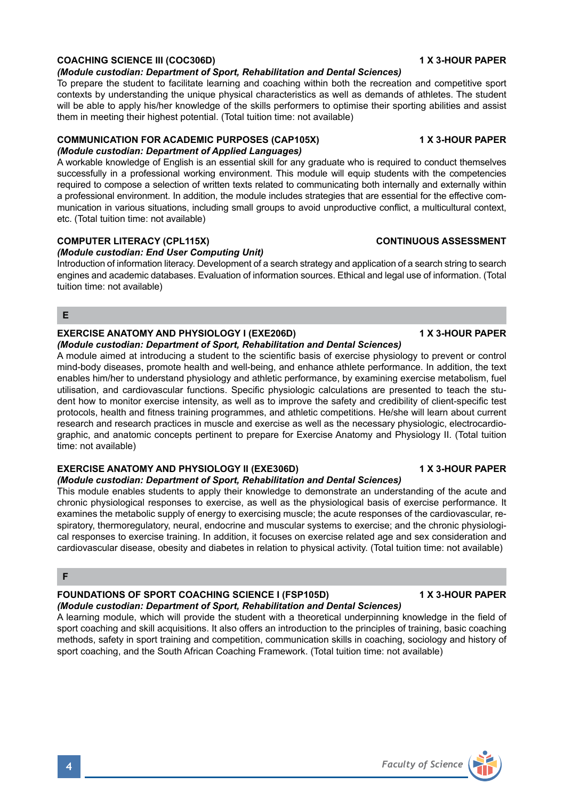# **COACHING SCIENCE III (COC306D) 1 X 3-HOUR PAPER**

## *(Module custodian: Department of Sport, Rehabilitation and Dental Sciences)*

To prepare the student to facilitate learning and coaching within both the recreation and competitive sport contexts by understanding the unique physical characteristics as well as demands of athletes. The student will be able to apply his/her knowledge of the skills performers to optimise their sporting abilities and assist them in meeting their highest potential. (Total tuition time: not available)

# **COMMUNICATION FOR ACADEMIC PURPOSES (CAP105X) 1 X 3-HOUR PAPER**

# *(Module custodian: Department of Applied Languages)*

A workable knowledge of English is an essential skill for any graduate who is required to conduct themselves successfully in a professional working environment. This module will equip students with the competencies required to compose a selection of written texts related to communicating both internally and externally within a professional environment. In addition, the module includes strategies that are essential for the effective communication in various situations, including small groups to avoid unproductive conflict, a multicultural context, etc. (Total tuition time: not available)

# **COMPUTER LITERACY (CPL115X)** COMPUTER LITERACY (CPL115X)

# *(Module custodian: End User Computing Unit)*

Introduction of information literacy. Development of a search strategy and application of a search string to search engines and academic databases. Evaluation of information sources. Ethical and legal use of information. (Total tuition time: not available)

# **E**

### **EXERCISE ANATOMY AND PHYSIOLOGY I (EXE206D) 1 X 3-HOUR PAPER** *(Module custodian: Department of Sport, Rehabilitation and Dental Sciences)*

A module aimed at introducing a student to the scientific basis of exercise physiology to prevent or control mind-body diseases, promote health and well-being, and enhance athlete performance. In addition, the text enables him/her to understand physiology and athletic performance, by examining exercise metabolism, fuel utilisation, and cardiovascular functions. Specific physiologic calculations are presented to teach the student how to monitor exercise intensity, as well as to improve the safety and credibility of client-specific test protocols, health and fitness training programmes, and athletic competitions. He/she will learn about current research and research practices in muscle and exercise as well as the necessary physiologic, electrocardiographic, and anatomic concepts pertinent to prepare for Exercise Anatomy and Physiology II. (Total tuition time: not available)

# **EXERCISE ANATOMY AND PHYSIOLOGY II (EXE306D) 1 X 3-HOUR PAPER**

# *(Module custodian: Department of Sport, Rehabilitation and Dental Sciences)*

This module enables students to apply their knowledge to demonstrate an understanding of the acute and chronic physiological responses to exercise, as well as the physiological basis of exercise performance. It examines the metabolic supply of energy to exercising muscle; the acute responses of the cardiovascular, respiratory, thermoregulatory, neural, endocrine and muscular systems to exercise; and the chronic physiological responses to exercise training. In addition, it focuses on exercise related age and sex consideration and cardiovascular disease, obesity and diabetes in relation to physical activity. (Total tuition time: not available)

# **F**

# **FOUNDATIONS OF SPORT COACHING SCIENCE I (FSP105D) 1 X 3-HOUR PAPER** *(Module custodian: Department of Sport, Rehabilitation and Dental Sciences)*

A learning module, which will provide the student with a theoretical underpinning knowledge in the field of sport coaching and skill acquisitions. It also offers an introduction to the principles of training, basic coaching methods, safety in sport training and competition, communication skills in coaching, sociology and history of sport coaching, and the South African Coaching Framework. (Total tuition time: not available)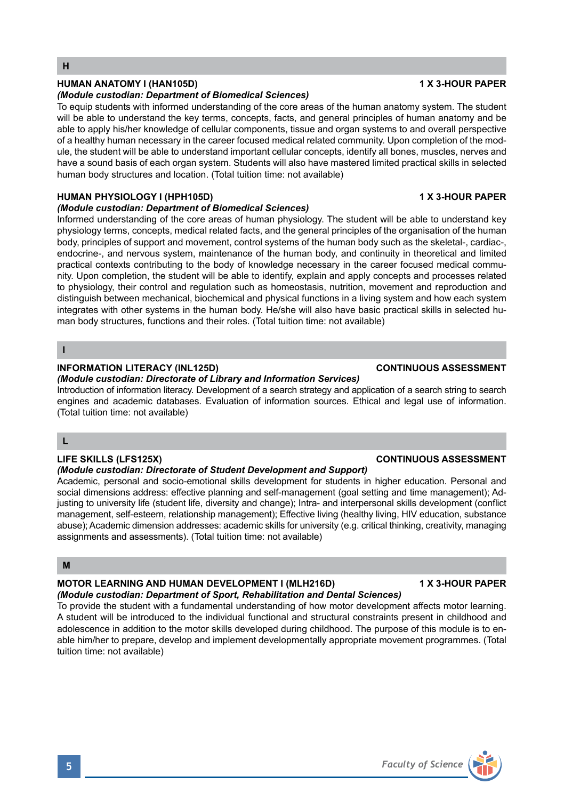# **HUMAN ANATOMY I (HAN105D) 1 X 3-HOUR PAPER**

### *(Module custodian: Department of Biomedical Sciences)*

To equip students with informed understanding of the core areas of the human anatomy system. The student will be able to understand the key terms, concepts, facts, and general principles of human anatomy and be able to apply his/her knowledge of cellular components, tissue and organ systems to and overall perspective of a healthy human necessary in the career focused medical related community. Upon completion of the module, the student will be able to understand important cellular concepts, identify all bones, muscles, nerves and have a sound basis of each organ system. Students will also have mastered limited practical skills in selected human body structures and location. (Total tuition time: not available)

# **HUMAN PHYSIOLOGY I (HPH105D) 1 X 3-HOUR PAPER**

### *(Module custodian: Department of Biomedical Sciences)*

Informed understanding of the core areas of human physiology. The student will be able to understand key physiology terms, concepts, medical related facts, and the general principles of the organisation of the human body, principles of support and movement, control systems of the human body such as the skeletal-, cardiac-, endocrine-, and nervous system, maintenance of the human body, and continuity in theoretical and limited practical contexts contributing to the body of knowledge necessary in the career focused medical community. Upon completion, the student will be able to identify, explain and apply concepts and processes related to physiology, their control and regulation such as homeostasis, nutrition, movement and reproduction and distinguish between mechanical, biochemical and physical functions in a living system and how each system integrates with other systems in the human body. He/she will also have basic practical skills in selected human body structures, functions and their roles. (Total tuition time: not available)

### **I**

# **INFORMATION LITERACY (INL125D)** *CONTINUOUS ASSESSMENT*

*(Module custodian: Directorate of Library and Information Services)* Introduction of information literacy. Development of a search strategy and application of a search string to search engines and academic databases. Evaluation of information sources. Ethical and legal use of information. (Total tuition time: not available)

# **L**

# **LIFE SKILLS (LFS125X) CONTINUOUS ASSESSMENT**

# *(Module custodian: Directorate of Student Development and Support)*

Academic, personal and socio-emotional skills development for students in higher education. Personal and social dimensions address: effective planning and self-management (goal setting and time management); Adjusting to university life (student life, diversity and change); Intra- and interpersonal skills development (conflict management, self-esteem, relationship management); Effective living (healthy living, HIV education, substance abuse); Academic dimension addresses: academic skills for university (e.g. critical thinking, creativity, managing assignments and assessments). (Total tuition time: not available)

# **M**

# **MOTOR LEARNING AND HUMAN DEVELOPMENT I (MLH216D) 1 X 3-HOUR PAPER**

# *(Module custodian: Department of Sport, Rehabilitation and Dental Sciences)*

To provide the student with a fundamental understanding of how motor development affects motor learning. A student will be introduced to the individual functional and structural constraints present in childhood and adolescence in addition to the motor skills developed during childhood. The purpose of this module is to enable him/her to prepare, develop and implement developmentally appropriate movement programmes. (Total tuition time: not available)

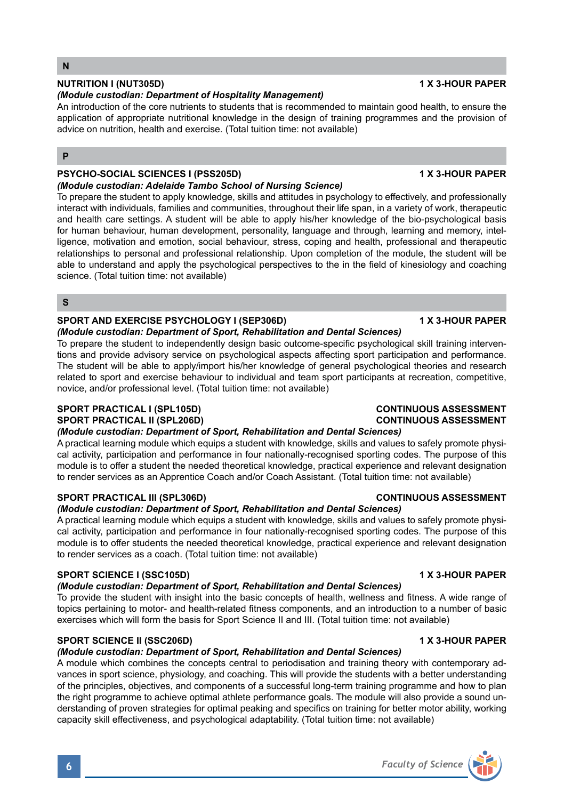# **NUTRITION I (NUT305D) 1 X 3-HOUR PAPER**

### *(Module custodian: Department of Hospitality Management)*

An introduction of the core nutrients to students that is recommended to maintain good health, to ensure the application of appropriate nutritional knowledge in the design of training programmes and the provision of advice on nutrition, health and exercise. (Total tuition time: not available)

# **P**

# **PSYCHO-SOCIAL SCIENCES I (PSS205D) 1 X 3-HOUR PAPER**

# *(Module custodian: Adelaide Tambo School of Nursing Science)*

To prepare the student to apply knowledge, skills and attitudes in psychology to effectively, and professionally interact with individuals, families and communities, throughout their life span, in a variety of work, therapeutic and health care settings. A student will be able to apply his/her knowledge of the bio-psychological basis for human behaviour, human development, personality, language and through, learning and memory, intelligence, motivation and emotion, social behaviour, stress, coping and health, professional and therapeutic relationships to personal and professional relationship. Upon completion of the module, the student will be able to understand and apply the psychological perspectives to the in the field of kinesiology and coaching science. (Total tuition time: not available)

# **S**

# **SPORT AND EXERCISE PSYCHOLOGY I (SEP306D) 1 X 3-HOUR PAPER**

# *(Module custodian: Department of Sport, Rehabilitation and Dental Sciences)*

To prepare the student to independently design basic outcome-specific psychological skill training interventions and provide advisory service on psychological aspects affecting sport participation and performance. The student will be able to apply/import his/her knowledge of general psychological theories and research related to sport and exercise behaviour to individual and team sport participants at recreation, competitive, novice, and/or professional level. (Total tuition time: not available)

# **SPORT PRACTICAL I (SPL105D) CONTINUOUS ASSESSMENT**

# **SPORT PRACTICAL II (SPL206D)**

# *(Module custodian: Department of Sport, Rehabilitation and Dental Sciences)*

A practical learning module which equips a student with knowledge, skills and values to safely promote physical activity, participation and performance in four nationally-recognised sporting codes. The purpose of this module is to offer a student the needed theoretical knowledge, practical experience and relevant designation to render services as an Apprentice Coach and/or Coach Assistant. (Total tuition time: not available)

# **SPORT PRACTICAL III (SPL306D) CONTINUOUS ASSESSMENT**

# *(Module custodian: Department of Sport, Rehabilitation and Dental Sciences)*

A practical learning module which equips a student with knowledge, skills and values to safely promote physical activity, participation and performance in four nationally-recognised sporting codes. The purpose of this module is to offer students the needed theoretical knowledge, practical experience and relevant designation to render services as a coach. (Total tuition time: not available)

# **SPORT SCIENCE I (SSC105D) 1 X 3-HOUR PAPER**

### *(Module custodian: Department of Sport, Rehabilitation and Dental Sciences)*

To provide the student with insight into the basic concepts of health, wellness and fitness. A wide range of topics pertaining to motor- and health-related fitness components, and an introduction to a number of basic exercises which will form the basis for Sport Science II and III. (Total tuition time: not available)

# **SPORT SCIENCE II (SSC206D) 1 X 3-HOUR PAPER**

# *(Module custodian: Department of Sport, Rehabilitation and Dental Sciences)*

A module which combines the concepts central to periodisation and training theory with contemporary advances in sport science, physiology, and coaching. This will provide the students with a better understanding of the principles, objectives, and components of a successful long-term training programme and how to plan the right programme to achieve optimal athlete performance goals. The module will also provide a sound understanding of proven strategies for optimal peaking and specifics on training for better motor ability, working capacity skill effectiveness, and psychological adaptability. (Total tuition time: not available)

# **6** *Faculty of Science*